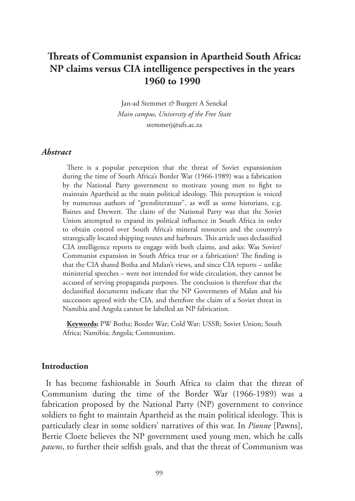# **Threats of Communist expansion in Apartheid South Africa: NP claims versus CIA intelligence perspectives in the years 1960 to 1990**

Jan-ad Stemmet *&* Burgert A Senekal *Main campus, University of the Free State* stemmetj@ufs.ac.za

#### *Abstract*

There is a popular perception that the threat of Soviet expansionism during the time of South Africa's Border War (1966-1989) was a fabrication by the National Party government to motivate young men to fight to maintain Apartheid as the main political ideology. This perception is voiced by numerous authors of "grensliteratuur", as well as some historians, e.g. Baines and Drewett. The claim of the National Party was that the Soviet Union attempted to expand its political influence in South Africa in order to obtain control over South Africa's mineral resources and the country's strategically located shipping routes and harbours. This article uses declassified CIA intelligence reports to engage with both claims, and asks: Was Soviet/ Communist expansion in South Africa true or a fabrication? The finding is that the CIA shared Botha and Malan's views, and since CIA reports – unlike ministerial speeches – were not intended for wide circulation, they cannot be accused of serving propaganda purposes. The conclusion is therefore that the declassified documents indicate that the NP Goverments of Malan and his successors agreed with the CIA, and therefore the claim of a Soviet threat in Namibia and Angola cannot be labelled an NP fabrication.

**Keywords:** PW Botha; Border War; Cold War; USSR; Soviet Union; South Africa; Namibia; Angola; Communism.

#### **Introduction**

It has become fashionable in South Africa to claim that the threat of Communism during the time of the Border War (1966-1989) was a fabrication proposed by the National Party (NP) government to convince soldiers to fight to maintain Apartheid as the main political ideology. This is particularly clear in some soldiers' narratives of this war. In *Pionne* [Pawns], Bertie Cloete believes the NP government used young men, which he calls *pawns*, to further their selfish goals, and that the threat of Communism was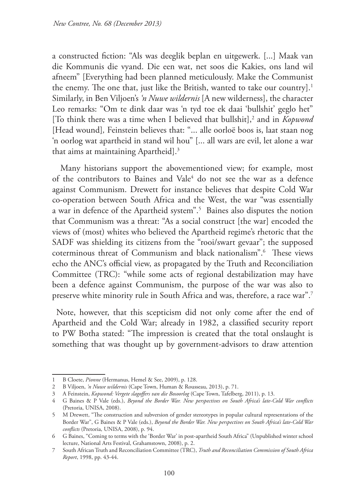a constructed fiction: "Als was deeglik beplan en uitgewerk. [...] Maak van die Kommunis die vyand. Die een wat, net soos die Kakies, ons land wil afneem" [Everything had been planned meticulously. Make the Communist the enemy. The one that, just like the British, wanted to take our country].<sup>1</sup> Similarly, in Ben Viljoen's *'n Nuwe wildernis* [A new wilderness], the character Leo remarks: "Om te dink daar was 'n tyd toe ek daai 'bullshit' geglo het" [To think there was a time when I believed that bullshit],<sup>2</sup> and in *Kopwond* [Head wound]*,* Feinstein believes that: "... alle oorloë boos is, laat staan nog 'n oorlog wat apartheid in stand wil hou" [... all wars are evil, let alone a war that aims at maintaining Apartheid].<sup>3</sup>

 Many historians support the abovementioned view; for example, most of the contributors to Baines and Vale<sup>4</sup> do not see the war as a defence against Communism. Drewett for instance believes that despite Cold War co-operation between South Africa and the West, the war "was essentially a war in defence of the Apartheid system".<sup>5</sup> Baines also disputes the notion that Communism was a threat: "As a social construct [the war] encoded the views of (most) whites who believed the Apartheid regime's rhetoric that the SADF was shielding its citizens from the "rooi/swart gevaar"; the supposed coterminous threat of Communism and black nationalism".6 These views echo the ANC's official view, as propagated by the Truth and Reconciliation Committee (TRC): "while some acts of regional destabilization may have been a defence against Communism, the purpose of the war was also to preserve white minority rule in South Africa and was, therefore, a race war".7

Note, however, that this scepticism did not only come after the end of Apartheid and the Cold War; already in 1982, a classified security report to PW Botha stated: "The impression is created that the total onslaught is something that was thought up by government-advisors to draw attention

<sup>1</sup> B Cloete, *Pionne* (Hermanus, Hemel & See, 2009), p. 128.

<sup>2</sup> B Viljoen, *'n Nuwe wildernis* (Cape Town, Human & Rousseau, 2013), p. 71.

<sup>3</sup> A Feinstein, *Kopwond: Vergete slagoffers van die Bosoorlog* (Cape Town, Tafelberg, 2011), p. 13.

<sup>4</sup> G Baines & P Vale (eds.), *Beyond the Border War. New perspectives on South Africa's late-Cold War conflicts* (Pretoria, UNISA, 2008).

<sup>5</sup> M Drewett, "The construction and subversion of gender stereotypes in popular cultural representations of the Border War", G Baines & P Vale (eds.), *Beyond the Border War. New perspectives on South Africa's late-Cold War conflicts* (Pretoria, UNISA, 2008), p. 94.

<sup>6</sup> G Baines, "Coming to terms with the 'Border War' in post-apartheid South Africa" (Unpublished winter school lecture, National Arts Festival, Grahamstown, 2008), p. 2.

<sup>7</sup> South African Truth and Reconciliation Committee (TRC), *Truth and Reconciliation Commission of South Africa Report*, 1998, pp. 43-44.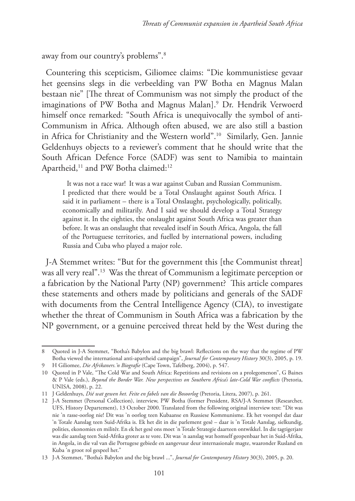away from our country's problems".8

Countering this scepticism, Giliomee claims: "Die kommunistiese gevaar het geensins slegs in die verbeelding van PW Botha en Magnus Malan bestaan nie" [The threat of Communism was not simply the product of the imaginations of PW Botha and Magnus Malan].9 Dr. Hendrik Verwoerd himself once remarked: "South Africa is unequivocally the symbol of anti-Communism in Africa. Although often abused, we are also still a bastion in Africa for Christianity and the Western world".10 Similarly, Gen. Jannie Geldenhuys objects to a reviewer's comment that he should write that the South African Defence Force (SADF) was sent to Namibia to maintain Apartheid,<sup>11</sup> and PW Botha claimed:<sup>12</sup>

It was not a race war! It was a war against Cuban and Russian Communism. I predicted that there would be a Total Onslaught against South Africa. I said it in parliament – there is a Total Onslaught, psychologically, politically, economically and militarily. And I said we should develop a Total Strategy against it. In the eighties, the onslaught against South Africa was greater than before. It was an onslaught that revealed itself in South Africa, Angola, the fall of the Portuguese territories, and fuelled by international powers, including Russia and Cuba who played a major role.

J-A Stemmet writes: "But for the government this [the Communist threat] was all very real".13 Was the threat of Communism a legitimate perception or a fabrication by the National Party (NP) government? This article compares these statements and others made by politicians and generals of the SADF with documents from the Central Intelligence Agency (CIA), to investigate whether the threat of Communism in South Africa was a fabrication by the NP government, or a genuine perceived threat held by the West during the

<sup>8</sup> Quoted in J-A Stemmet, "Botha's Babylon and the big brawl: Reflections on the way that the regime of PW Botha viewed the international anti-apartheid campaign", *Journal for Contemporary History* 30(3), 2005, p. 19. 9 H Giliomee, *Die Afrikaners.'n Biografie* (Cape Town, Tafelberg, 2004), p. 547.

<sup>10</sup> Quoted in P Vale, "The Cold War and South Africa: Repetitions and revisions on a prolegomenon", G Baines & P Vale (eds.), *Beyond the Border War. New perspectives on Southern Africa's late-Cold War conflicts* (Pretoria, UNISA, 2008), p. 22.

<sup>11</sup> J Geldenhuys, *Dié wat gewen het. Feite en fabels van die Bosoorlog* (Pretoria, Litera, 2007), p. 261.

<sup>12</sup> J-A Stemmet (Personal Collection), interview, PW Botha (former President, RSA/J-A Stemmet (Researcher, UFS, History Departement), 13 October 2000. Translated from the following original interview text: "Dit was nie 'n rasse-oorlog nie! Dit was 'n oorlog teen Kubaanse en Russiese Kommunisme. Ek het voorspel dat daar 'n Totale Aanslag teen Suid-Afrika is. Ek het dit in die parlement gesê – daar is 'n Totale Aanslag, sielkundig, polities, ekonomies en militêr. En ek het gesê ons moet 'n Totale Strategie daarteen ontwikkel. In die tagtigerjare was die aanslag teen Suid-Afrika groter as te vore. Dit was 'n aanslag wat homself geopenbaar het in Suid-Afrika, in Angola, in die val van die Portugese gebiede en aangevuur deur internasionale magte, waaronder Rusland en Kuba 'n groot rol gespeel het."

<sup>13</sup> J-A Stemmet, "Botha's Babylon and the big brawl ...", *Journal for Contemporary History* 30(3), 2005, p. 20.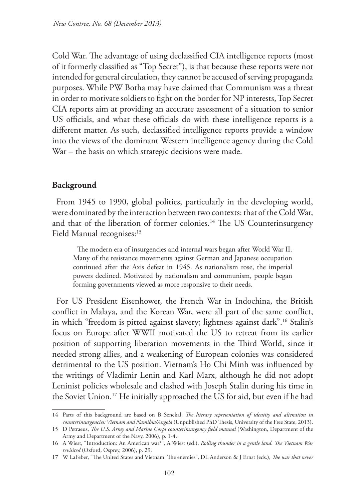Cold War. The advantage of using declassified CIA intelligence reports (most of it formerly classified as "Top Secret"), is that because these reports were not intended for general circulation, they cannot be accused of serving propaganda purposes. While PW Botha may have claimed that Communism was a threat in order to motivate soldiers to fight on the border for NP interests, Top Secret CIA reports aim at providing an accurate assessment of a situation to senior US officials, and what these officials do with these intelligence reports is a different matter. As such, declassified intelligence reports provide a window into the views of the dominant Western intelligence agency during the Cold War – the basis on which strategic decisions were made.

### **Background**

From 1945 to 1990, global politics, particularly in the developing world, were dominated by the interaction between two contexts: that of the Cold War, and that of the liberation of former colonies.14 The US Counterinsurgency Field Manual recognises:<sup>15</sup>

The modern era of insurgencies and internal wars began after World War II. Many of the resistance movements against German and Japanese occupation continued after the Axis defeat in 1945. As nationalism rose, the imperial powers declined. Motivated by nationalism and communism, people began forming governments viewed as more responsive to their needs.

For US President Eisenhower, the French War in Indochina, the British conflict in Malaya, and the Korean War, were all part of the same conflict, in which "freedom is pitted against slavery; lightness against dark".16 Stalin's focus on Europe after WWII motivated the US to retreat from its earlier position of supporting liberation movements in the Third World, since it needed strong allies, and a weakening of European colonies was considered detrimental to the US position. Vietnam's Ho Chi Minh was influenced by the writings of Vladimir Lenin and Karl Marx, although he did not adopt Leninist policies wholesale and clashed with Joseph Stalin during his time in the Soviet Union.17 He initially approached the US for aid, but even if he had

<sup>14</sup> Parts of this background are based on B Senekal, *The literary representation of identity and alienation in counterinsurgencies: Vietnam and Namibia/Angola* (Unpublished PhD Thesis, University of the Free State, 2013).

<sup>15</sup> D Petraeus, *The U.S. Army and Marine Corps counterinsurgency field manual* (Washington, Department of the Army and Department of the Navy, 2006), p. 1-4.

<sup>16</sup> A Wiest, "Introduction: An American war?", A Wiest (ed.), *Rolling thunder in a gentle land. The Vietnam War revisited* (Oxford, Osprey, 2006), p. 29.

<sup>17</sup> W LaFeber, "The United States and Vietnam: The enemies", DL Anderson & J Ernst (eds.), *The war that never*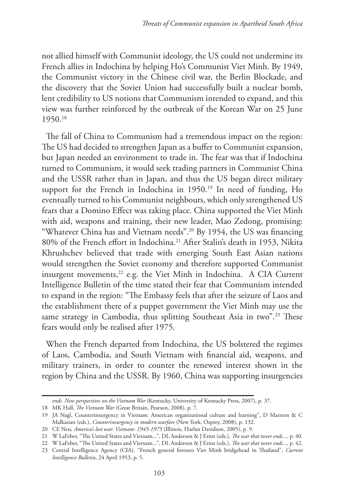not allied himself with Communist ideology, the US could not undermine its French allies in Indochina by helping Ho's Communist Viet Minh. By 1949, the Communist victory in the Chinese civil war, the Berlin Blockade, and the discovery that the Soviet Union had successfully built a nuclear bomb, lent credibility to US notions that Communism intended to expand, and this view was further reinforced by the outbreak of the Korean War on 25 June 1950.18

The fall of China to Communism had a tremendous impact on the region: The US had decided to strengthen Japan as a buffer to Communist expansion, but Japan needed an environment to trade in. The fear was that if Indochina turned to Communism, it would seek trading partners in Communist China and the USSR rather than in Japan, and thus the US began direct military support for the French in Indochina in 1950.<sup>19</sup> In need of funding, Ho eventually turned to his Communist neighbours, which only strengthened US fears that a Domino Effect was taking place. China supported the Viet Minh with aid, weapons and training, their new leader, Mao Zedong, promising: "Whatever China has and Vietnam needs".20 By 1954, the US was financing 80% of the French effort in Indochina.<sup>21</sup> After Stalin's death in 1953, Nikita Khrushchev believed that trade with emerging South East Asian nations would strengthen the Soviet economy and therefore supported Communist insurgent movements,<sup>22</sup> e.g. the Viet Minh in Indochina. A CIA Current Intelligence Bulletin of the time stated their fear that Communism intended to expand in the region: "The Embassy feels that after the seizure of Laos and the establishment there of a puppet government the Viet Minh may use the same strategy in Cambodia, thus splitting Southeast Asia in two".<sup>23</sup> These fears would only be realised after 1975.

When the French departed from Indochina, the US bolstered the regimes of Laos, Cambodia, and South Vietnam with financial aid, weapons, and military trainers, in order to counter the renewed interest shown in the region by China and the USSR. By 1960, China was supporting insurgencies

*ends. New perspectives on the Vietnam War* (Kentucky, University of Kentucky Press, 2007), p. 37.

<sup>18</sup> MK Hall, *The Vietnam War* (Great Britain, Pearson, 2008), p. 7.

<sup>19</sup> JA Nagl, Counterinsurgency in Vietnam: American organizational culture and learning", D Marston & C Malkasian (eds.), *Counterinsurgency in modern warfare* (New York, Osprey, 2008), p. 132.

<sup>20</sup> CE Neu, *America's lost war: Vietnam: 1945-1975* (Illinois, Harlan Davidson, 2005), p. 9.

<sup>21</sup> W LaFeber, "The United States and Vietnam...", DL Anderson & J Ernst (eds.), *The war that never ends...,* p. 40.

<sup>22</sup> W LaFeber, "The United States and Vietnam...", DL Anderson & J Ernst (eds.), *The war that never ends...,* p. 42.

<sup>23</sup> Central Intelligence Agency (CIA), "French general foresees Viet Minh bridgehead in Thailand", *Current Intelligence Bulletin*, 24 April 1953, p. 5.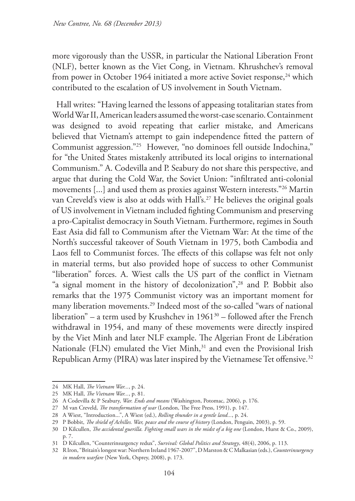more vigorously than the USSR, in particular the National Liberation Front (NLF), better known as the Viet Cong, in Vietnam. Khrushchev's removal from power in October 1964 initiated a more active Soviet response,<sup>24</sup> which contributed to the escalation of US involvement in South Vietnam.

Hall writes: "Having learned the lessons of appeasing totalitarian states from World War II, American leaders assumed the worst-case scenario. Containment was designed to avoid repeating that earlier mistake, and Americans believed that Vietnam's attempt to gain independence fitted the pattern of Communist aggression."25 However, "no dominoes fell outside Indochina," for "the United States mistakenly attributed its local origins to international Communism." A. Codevilla and P. Seabury do not share this perspective, and argue that during the Cold War, the Soviet Union: "infiltrated anti-colonial movements [...] and used them as proxies against Western interests."26 Martin van Creveld's view is also at odds with Hall's.<sup>27</sup> He believes the original goals of US involvement in Vietnam included fighting Communism and preserving a pro-Capitalist democracy in South Vietnam. Furthermore, regimes in South East Asia did fall to Communism after the Vietnam War: At the time of the North's successful takeover of South Vietnam in 1975, both Cambodia and Laos fell to Communist forces. The effects of this collapse was felt not only in material terms, but also provided hope of success to other Communist "liberation" forces. A. Wiest calls the US part of the conflict in Vietnam "a signal moment in the history of decolonization",28 and P. Bobbit also remarks that the 1975 Communist victory was an important moment for many liberation movements.29 Indeed most of the so-called "wars of national liberation" – a term used by Krushchev in  $1961^{30}$  – followed after the French withdrawal in 1954, and many of these movements were directly inspired by the Viet Minh and later NLF example. The Algerian Front de Libération Nationale (FLN) emulated the Viet Minh,<sup>31</sup> and even the Provisional Irish Republican Army (PIRA) was later inspired by the Vietnamese Tet offensive.<sup>32</sup>

<sup>24</sup> MK Hall, *The Vietnam War...*, p. 24.

<sup>25</sup> MK Hall, *The Vietnam War...*, p. 81.

<sup>26</sup> A Codevilla & P Seabury, *War. Ends and means* (Washington, Potomac, 2006), p. 176.

<sup>27</sup> M van Creveld, *The transformation of war* (London, The Free Press, 1991), p. 147.

<sup>28</sup> A Wiest, "Introduction...", A Wiest (ed.), *Rolling thunder in a gentle land...*, p. 24.

<sup>29</sup> P Bobbit, *The shield of Achilles. War, peace and the course of history* (London, Penguin, 2003), p. 59.

<sup>30</sup> D Kilcullen, *The accidental guerilla. Fighting small wars in the midst of a big one* (London, Hurst & Co., 2009), p. 7.

<sup>31</sup> D Kilcullen, "Counterinsurgency redux", *Survival: Global Politics and Strategy*, 48(4), 2006, p. 113.

<sup>32</sup> R Iron, "Britain's longest war: Northern Ireland 1967-2007", D Marston & C Malkasian (eds.), *Counterinsurgency in modern warfare* (New York, Osprey, 2008), p. 173.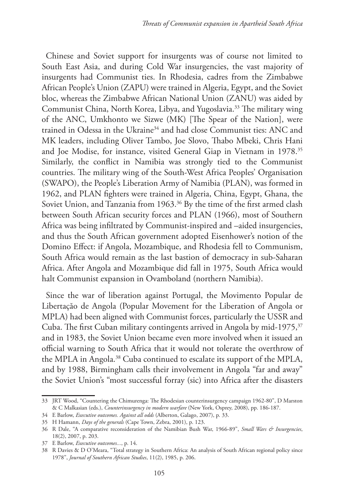Chinese and Soviet support for insurgents was of course not limited to South East Asia, and during Cold War insurgencies, the vast majority of insurgents had Communist ties. In Rhodesia, cadres from the Zimbabwe African People's Union (ZAPU) were trained in Algeria, Egypt, and the Soviet bloc, whereas the Zimbabwe African National Union (ZANU) was aided by Communist China, North Korea, Libya, and Yugoslavia.33 The military wing of the ANC, Umkhonto we Sizwe (MK) [The Spear of the Nation], were trained in Odessa in the Ukraine<sup>34</sup> and had close Communist ties: ANC and MK leaders, including Oliver Tambo, Joe Slovo, Thabo Mbeki, Chris Hani and Joe Modise, for instance, visited General Giap in Vietnam in 1978.<sup>35</sup> Similarly, the conflict in Namibia was strongly tied to the Communist countries. The military wing of the South-West Africa Peoples' Organisation (SWAPO), the People's Liberation Army of Namibia (PLAN), was formed in 1962, and PLAN fighters were trained in Algeria, China, Egypt, Ghana, the Soviet Union, and Tanzania from 1963.<sup>36</sup> By the time of the first armed clash between South African security forces and PLAN (1966), most of Southern Africa was being infiltrated by Communist-inspired and –aided insurgencies, and thus the South African government adopted Eisenhower's notion of the Domino Effect: if Angola, Mozambique, and Rhodesia fell to Communism, South Africa would remain as the last bastion of democracy in sub-Saharan Africa. After Angola and Mozambique did fall in 1975, South Africa would halt Communist expansion in Ovamboland (northern Namibia).

Since the war of liberation against Portugal, the Movimento Popular de Libertaçăo de Angola (Popular Movement for the Liberation of Angola or MPLA) had been aligned with Communist forces, particularly the USSR and Cuba. The first Cuban military contingents arrived in Angola by mid-1975, $37$ and in 1983, the Soviet Union became even more involved when it issued an official warning to South Africa that it would not tolerate the overthrow of the MPLA in Angola.<sup>38</sup> Cuba continued to escalate its support of the MPLA, and by 1988, Birmingham calls their involvement in Angola "far and away" the Soviet Union's "most successful forray (sic) into Africa after the disasters

<sup>33</sup> JRT Wood, "Countering the Chimurenga: The Rhodesian counterinsurgency campaign 1962-80", D Marston & C Malkasian (eds.), *Counterinsurgency in modern warfare* (New York, Osprey, 2008), pp. 186-187.

<sup>34</sup> E Barlow, *Executive outcomes. Against all odds* (Alberton, Galago, 2007), p. 33.

<sup>35</sup> H Hamann, *Days of the generals* (Cape Town, Zebra, 2001), p. 123.

<sup>36</sup> R Dale, "A comparative reconsideration of the Namibian Bush War, 1966-89", *Small Wars & Insurgencies*, 18(2), 2007, p. 203.

<sup>37</sup> E Barlow, *Executive outcomes...*, p. 14.

<sup>38</sup> R Davies & D O'Meara, "Total strategy in Southern Africa: An analysis of South African regional policy since 1978", *Journal of Southern African Studies*, 11(2), 1985, p. 206.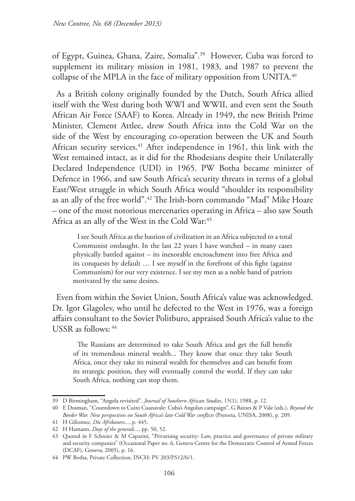of Egypt, Guinea, Ghana, Zaire, Somalia".39 However, Cuba was forced to supplement its military mission in 1981, 1983, and 1987 to prevent the collapse of the MPLA in the face of military opposition from UNITA.<sup>40</sup>

As a British colony originally founded by the Dutch, South Africa allied itself with the West during both WWI and WWII, and even sent the South African Air Force (SAAF) to Korea. Already in 1949, the new British Prime Minister, Clement Attlee, drew South Africa into the Cold War on the side of the West by encouraging co-operation between the UK and South African security services.<sup>41</sup> After independence in 1961, this link with the West remained intact, as it did for the Rhodesians despite their Unilaterally Declared Independence (UDI) in 1965. PW Botha became minister of Defence in 1966, and saw South Africa's security threats in terms of a global East/West struggle in which South Africa would "shoulder its responsibility as an ally of the free world".42 The Irish-born commando "Mad" Mike Hoare – one of the most notorious mercenaries operating in Africa – also saw South Africa as an ally of the West in the Cold War:<sup>43</sup>

I see South Africa as the bastion of civilization in an Africa subjected to a total Communist onslaught. In the last 22 years I have watched – in many cases physically battled against – its inexorable encroachment into free Africa and its conquests by default … I see myself in the forefront of this fight (against Communism) for our very existence. I see my men as a noble band of patriots motivated by the same desires.

Even from within the Soviet Union, South Africa's value was acknowledged. Dr. Igor Glagolev, who until he defected to the West in 1976, was a foreign affairs consultant to the Soviet Politburo, appraised South Africa's value to the USSR as follows: 44

The Russians are determined to take South Africa and get the full benefit of its tremendous mineral wealth... They know that once they take South Africa, once they take its mineral wealth for themselves and can benefit from its strategic position, they will eventually control the world. If they can take South Africa, nothing can stop them.

<sup>39</sup> D Birmingham, "Angola revisited", *Journal of Southern African Studies*, 15(1), 1988, p. 12.

<sup>40</sup> E Dosman, "Countdown to Cuito Cuanavale: Cuba's Angolan campaign", G Baines & P Vale (eds.), *Beyond the Border War. New perspectives on South Africa's late-Cold War conflicts* (Pretoria, UNISA, 2008), p. 209.

<sup>41</sup> H Giliomee, *Die Afrikaners...*, p. 445.

<sup>42</sup> H Hamann, *Days of the generals...*, pp. 50, 52.

<sup>43</sup> Quoted in F Schreier & M Caparini, "Privatising security: Law, practice and governance of private military and security companies" (Occasional Paper no. 6, Geneva Centre for the Democratic Control of Armed Forces (DCAF), Geneva, 2005), p. 16.

<sup>44</sup> PW Botha, Private Collection, INCH: PV 203/PS12/6/1.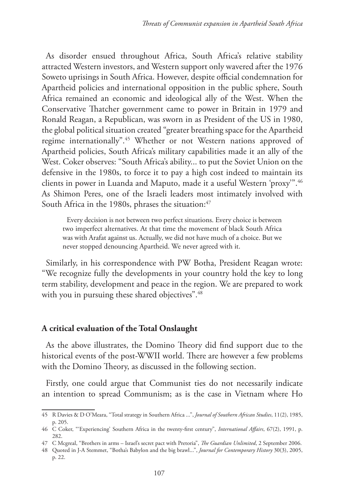As disorder ensued throughout Africa, South Africa's relative stability attracted Western investors, and Western support only wavered after the 1976 Soweto uprisings in South Africa. However, despite official condemnation for Apartheid policies and international opposition in the public sphere, South Africa remained an economic and ideological ally of the West. When the Conservative Thatcher government came to power in Britain in 1979 and Ronald Reagan, a Republican, was sworn in as President of the US in 1980, the global political situation created "greater breathing space for the Apartheid regime internationally".45 Whether or not Western nations approved of Apartheid policies, South Africa's military capabilities made it an ally of the West. Coker observes: "South Africa's ability... to put the Soviet Union on the defensive in the 1980s, to force it to pay a high cost indeed to maintain its clients in power in Luanda and Maputo, made it a useful Western 'proxy'".46 As Shimon Peres, one of the Israeli leaders most intimately involved with South Africa in the 1980s, phrases the situation:<sup>47</sup>

Every decision is not between two perfect situations. Every choice is between two imperfect alternatives. At that time the movement of black South Africa was with Arafat against us. Actually, we did not have much of a choice. But we never stopped denouncing Apartheid. We never agreed with it.

Similarly, in his correspondence with PW Botha, President Reagan wrote: "We recognize fully the developments in your country hold the key to long term stability, development and peace in the region. We are prepared to work with you in pursuing these shared objectives".<sup>48</sup>

#### **A critical evaluation of the Total Onslaught**

As the above illustrates, the Domino Theory did find support due to the historical events of the post-WWII world. There are however a few problems with the Domino Theory, as discussed in the following section.

Firstly, one could argue that Communist ties do not necessarily indicate an intention to spread Communism; as is the case in Vietnam where Ho

<sup>45</sup> R Davies & D O'Meara, "Total strategy in Southern Africa ...", *Journal of Southern African Studies*, 11(2), 1985, p. 205.

<sup>46</sup> C Coker, "'Experiencing' Southern Africa in the twenty-first century", *International Affairs*, 67(2), 1991, p. 282.

<sup>47</sup> C Mcgreal, "Brothers in arms – Israel's secret pact with Pretoria", *The Guardian Unlimited*, 2 September 2006.

<sup>48</sup> Quoted in J-A Stemmet, "Botha's Babylon and the big brawl...", *Journal for Contemporary History* 30(3), 2005, p. 22.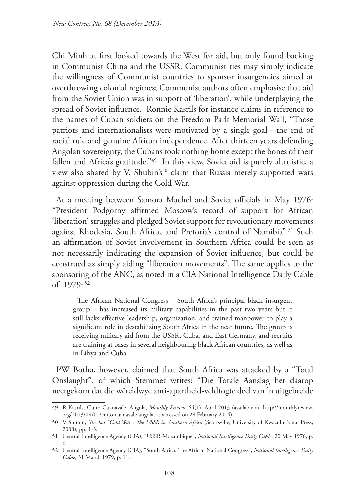Chi Minh at first looked towards the West for aid, but only found backing in Communist China and the USSR. Communist ties may simply indicate the willingness of Communist countries to sponsor insurgencies aimed at overthrowing colonial regimes; Communist authors often emphasise that aid from the Soviet Union was in support of 'liberation', while underplaying the spread of Soviet influence. Ronnie Kasrils for instance claims in reference to the names of Cuban soldiers on the Freedom Park Memorial Wall, "Those patriots and internationalists were motivated by a single goal—the end of racial rule and genuine African independence. After thirteen years defending Angolan sovereignty, the Cubans took nothing home except the bones of their fallen and Africa's gratitude."<sup>49</sup> In this view, Soviet aid is purely altruistic, a view also shared by V. Shubin's<sup>50</sup> claim that Russia merely supported wars against oppression during the Cold War.

At a meeting between Samora Machel and Soviet officials in May 1976: "President Podgorny affirmed Moscow's record of support for African 'liberation' struggles and pledged Soviet support for revolutionary movements against Rhodesia, South Africa, and Pretoria's control of Namibia".<sup>51</sup> Such an affirmation of Soviet involvement in Southern Africa could be seen as not necessarily indicating the expansion of Soviet influence, but could be construed as simply aiding "liberation movements". The same applies to the sponsoring of the ANC, as noted in a CIA National Intelligence Daily Cable of 1979: 52

The African National Congress – South Africa's principal black insurgent group – has increased its military capabilities in the past two years but it still lacks effective leadership, organization, and trained manpower to play a significant role in destabilizing South Africa in the near future. The group is receiving military aid from the USSR, Cuba, and East Germany, and recruits are training at bases in several neighbouring black African countries, as well as in Libya and Cuba.

PW Botha, however, claimed that South Africa was attacked by a "Total Onslaught", of which Stemmet writes: "Die Totale Aanslag het daarop neergekom dat die wêreldwye anti-apartheid-veldtogte deel van 'n uitgebreide

<sup>49</sup> R Kasrils, Cuito Cuanavale, Angola, *Monthly Review*, 64(1), April 2013 (available at: http://monthlyreview. org/2013/04/01/cuito-cuanavale-angola, as accessed on 28 February 2014).

<sup>50</sup> V Shubin, *The hot "Cold War". The USSR in Southern Africa* (Scottsville, University of Kwazulu Natal Press, 2008), pp. 1-3.

<sup>51</sup> Central Intelligence Agency (CIA), "USSR-Mozambique", *National Intelligence Daily Cable*, 20 May 1976, p. 6.

<sup>52</sup> Central Intelligence Agency (CIA), "South Africa: The African National Congress", *National Intelligence Daily Cable*, 31 March 1979, p. 11.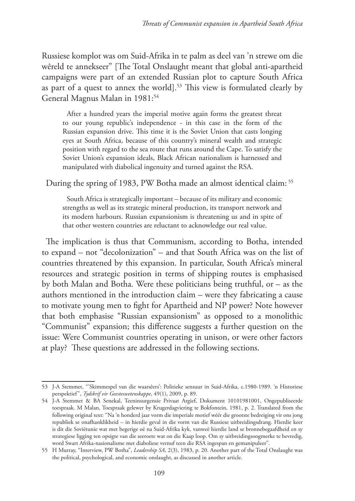Russiese komplot was om Suid-Afrika in te palm as deel van 'n strewe om die wêreld te annekseer" [The Total Onslaught meant that global anti-apartheid campaigns were part of an extended Russian plot to capture South Africa as part of a quest to annex the world].<sup>53</sup> This view is formulated clearly by General Magnus Malan in 1981:<sup>54</sup>

After a hundred years the imperial motive again forms the greatest threat to our young republic's independence - in this case in the form of the Russian expansion drive. This time it is the Soviet Union that casts longing eyes at South Africa, because of this country's mineral wealth and strategic position with regard to the sea route that runs around the Cape. To satisfy the Soviet Union's expansion ideals, Black African nationalism is harnessed and manipulated with diabolical ingenuity and turned against the RSA.

During the spring of 1983, PW Botha made an almost identical claim: 55

South Africa is strategically important – because of its military and economic strengths as well as its strategic mineral production, its transport network and its modern harbours. Russian expansionism is threatening us and in spite of that other western countries are reluctant to acknowledge our real value.

The implication is thus that Communism, according to Botha, intended to expand – not "decolonization" – and that South Africa was on the list of countries threatened by this expansion. In particular, South Africa's mineral resources and strategic position in terms of shipping routes is emphasised by both Malan and Botha. Were these politicians being truthful, or – as the authors mentioned in the introduction claim – were they fabricating a cause to motivate young men to fight for Apartheid and NP power? Note however that both emphasise "Russian expansionism" as opposed to a monolithic "Communist" expansion; this difference suggests a further question on the issue: Were Communist countries operating in unison, or were other factors at play? These questions are addressed in the following sections.

<sup>53</sup> J-A Stemmet, "'Skimmespel van die waarsêers': Politieke sensuur in Suid-Afrika, c.1980-1989. 'n Historiese perspektief", *Tydskrif vir Geesteswetenskappe*, 49(1), 2009, p. 89.

<sup>54</sup> J-A Stemmet & BA Senekal, Teeninsurgensie Privaat Argief, Dokument 10101981001, Ongepubliseerde toespraak. M Malan, Toespraak gelewer by Krugerdagviering te Bokfontein, 1981, p. 2. Translated from the following original text: "Na 'n honderd jaar vorm die imperiale motief wéér die grootste bedreiging vir ons jong republiek se onafhanklikheid – in hierdie geval in die vorm van die Russiese uitbreidingsdrang. Hierdie keer is dit die Soviëtunie wat met begerige oë na Suid-Afrika kyk, vanweë hierdie land se bronnebegaafdheid en sy strategiese ligging ten opsigte van die seeroete wat on die Kaap loop. Om sy uitbreidingsoogmerke te bevredig, word Swart Afrika-nasionalisme met diaboliese vernuf teen die RSA ingespan en gemanipuleer".

<sup>55</sup> H Murray, "Interview, PW Botha", *Leadership SA*, 2(3), 1983, p. 20. Another part of the Total Onslaught was the political, psychological, and economic onslaught, as discussed in another article.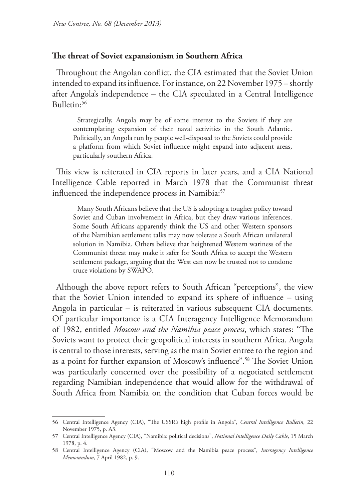#### **The threat of Soviet expansionism in Southern Africa**

Throughout the Angolan conflict, the CIA estimated that the Soviet Union intended to expand its influence. For instance, on 22 November 1975 – shortly after Angola's independence – the CIA speculated in a Central Intelligence Bulletin:56

Strategically, Angola may be of some interest to the Soviets if they are contemplating expansion of their naval activities in the South Atlantic. Politically, an Angola run by people well-disposed to the Soviets could provide a platform from which Soviet influence might expand into adjacent areas, particularly southern Africa.

This view is reiterated in CIA reports in later years, and a CIA National Intelligence Cable reported in March 1978 that the Communist threat influenced the independence process in Namibia:<sup>57</sup>

Many South Africans believe that the US is adopting a tougher policy toward Soviet and Cuban involvement in Africa, but they draw various inferences. Some South Africans apparently think the US and other Western sponsors of the Namibian settlement talks may now tolerate a South African unilateral solution in Namibia. Others believe that heightened Western wariness of the Communist threat may make it safer for South Africa to accept the Western settlement package, arguing that the West can now be trusted not to condone truce violations by SWAPO.

Although the above report refers to South African "perceptions", the view that the Soviet Union intended to expand its sphere of influence – using Angola in particular – is reiterated in various subsequent CIA documents. Of particular importance is a CIA Interagency Intelligence Memorandum of 1982, entitled *Moscow and the Namibia peace process*, which states: "The Soviets want to protect their geopolitical interests in southern Africa. Angola is central to those interests, serving as the main Soviet entree to the region and as a point for further expansion of Moscow's influence".58 The Soviet Union was particularly concerned over the possibility of a negotiated settlement regarding Namibian independence that would allow for the withdrawal of South Africa from Namibia on the condition that Cuban forces would be

<sup>56</sup> Central Intelligence Agency (CIA), "The USSR's high profile in Angola", *Central Intelligence Bulletin*, 22 November 1975, p. A3.

<sup>57</sup> Central Intelligence Agency (CIA), "Namibia: political decisions", *National Intelligence Daily Cable*, 15 March 1978, p. 4.

<sup>58</sup> Central Intelligence Agency (CIA), "Moscow and the Namibia peace process", *Interagency Intelligence Memorandum*, 7 April 1982, p. 9.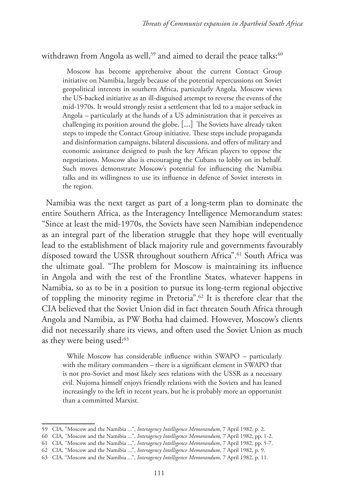withdrawn from Angola as well,<sup>59</sup> and aimed to derail the peace talks:<sup>60</sup>

Moscow has become apprehensive about the current Contact Group initiative on Namibia, largely because of the potential repercussions on Soviet geopolitical interests in southern Africa, particularly Angola. Moscow views the US-backed initiative as an ill-disguised attempt to reverse the events of the mid-1970s. It would strongly resist a settlement that led to a major setback in Angola – particularly at the hands of a US administration that it perceives as challenging its position around the globe. [...] The Soviets have already taken steps to impede the Contact Group initiative. These steps include propaganda and disinformation campaigns, bilateral discussions, and offers of military and economic assistance designed to push the key African players to oppose the negotiations. Moscow also is encouraging the Cubans to lobby on its behalf. Such moves demonstrate Moscow's potential for influencing the Namibia talks and its willingness to use its influence in defence of Soviet interests in the region.

Namibia was the next target as part of a long-term plan to dominate the entire Southern Africa, as the Interagency Intelligence Memorandum states: "Since at least the mid-1970s, the Soviets have seen Namibian independence as an integral part of the liberation struggle that they hope will eventually lead to the establishment of black majority rule and governments favourably disposed toward the USSR throughout southern Africa".61 South Africa was the ultimate goal. "The problem for Moscow is maintaining its influence in Angola and with the rest of the Frontline States, whatever happens in Namibia, so as to be in a position to pursue its long-term regional objective of toppling the minority regime in Pretoria".62 It is therefore clear that the CIA believed that the Soviet Union did in fact threaten South Africa through Angola and Namibia, as PW Botha had claimed. However, Moscow's clients did not necessarily share its views, and often used the Soviet Union as much as they were being used:<sup>63</sup>

While Moscow has considerable influence within SWAPO – particularly with the military commanders – there is a significant element in SWAPO that is not pro-Soviet and most likely sees relations with the USSR as a necessary evil. Nujoma himself enjoys friendly relations with the Soviets and has leaned increasingly to the left in recent years, but he is probably more an opportunist than a committed Marxist.

<sup>59</sup> CIA, "Moscow and the Namibia ...", *Interagency Intelligence Memorandum*, 7 April 1982, p. 2.

<sup>60</sup> CIA, "Moscow and the Namibia ...", *Interagency Intelligence Memorandum*, 7 April 1982, pp. 1-2.

<sup>61</sup> CIA, "Moscow and the Namibia ...", *Interagency Intelligence Memorandum*, 7 April 1982, pp. 5-7.

<sup>62</sup> CIA, "Moscow and the Namibia ...", *Interagency Intelligence Memorandum*, 7 April 1982, p. 9.

<sup>63</sup> CIA, "Moscow and the Namibia ...", *Interagency Intelligence Memorandum*, 7 April 1982, p. 11.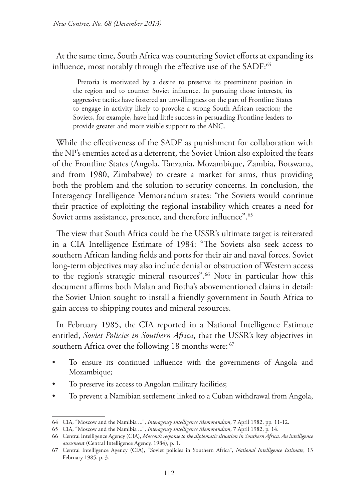At the same time, South Africa was countering Soviet efforts at expanding its influence, most notably through the effective use of the SADF:<sup>64</sup>

Pretoria is motivated by a desire to preserve its preeminent position in the region and to counter Soviet influence. In pursuing those interests, its aggressive tactics have fostered an unwillingness on the part of Frontline States to engage in activity likely to provoke a strong South African reaction; the Soviets, for example, have had little success in persuading Frontline leaders to provide greater and more visible support to the ANC.

While the effectiveness of the SADF as punishment for collaboration with the NP's enemies acted as a deterrent, the Soviet Union also exploited the fears of the Frontline States (Angola, Tanzania, Mozambique, Zambia, Botswana, and from 1980, Zimbabwe) to create a market for arms, thus providing both the problem and the solution to security concerns. In conclusion, the Interagency Intelligence Memorandum states: "the Soviets would continue their practice of exploiting the regional instability which creates a need for Soviet arms assistance, presence, and therefore influence".<sup>65</sup>

The view that South Africa could be the USSR's ultimate target is reiterated in a CIA Intelligence Estimate of 1984: "The Soviets also seek access to southern African landing fields and ports for their air and naval forces. Soviet long-term objectives may also include denial or obstruction of Western access to the region's strategic mineral resources".<sup>66</sup> Note in particular how this document affirms both Malan and Botha's abovementioned claims in detail: the Soviet Union sought to install a friendly government in South Africa to gain access to shipping routes and mineral resources.

In February 1985, the CIA reported in a National Intelligence Estimate entitled, *Soviet Policies in Southern Africa*, that the USSR's key objectives in southern Africa over the following 18 months were: <sup>67</sup>

- To ensure its continued influence with the governments of Angola and Mozambique;
- To preserve its access to Angolan military facilities;
- To prevent a Namibian settlement linked to a Cuban withdrawal from Angola,

<sup>64</sup> CIA, "Moscow and the Namibia ...", *Interagency Intelligence Memorandum*, 7 April 1982, pp. 11-12.

<sup>65</sup> CIA, "Moscow and the Namibia ...", *Interagency Intelligence Memorandum*, 7 April 1982, p. 14.

<sup>66</sup> Central Intelligence Agency (CIA), *Moscow's response to the diplomatic situation in Southern Africa. An intelligence assessmen*t (Central Intelligence Agency, 1984), p. 1.

<sup>67</sup> Central Intelligence Agency (CIA), "Soviet policies in Southern Africa", *National Intelligence Estimate*, 13 February 1985, p. 3.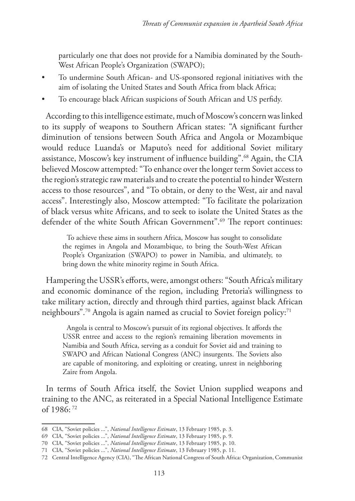particularly one that does not provide for a Namibia dominated by the South-West African People's Organization (SWAPO);

- To undermine South African- and US-sponsored regional initiatives with the aim of isolating the United States and South Africa from black Africa;
- To encourage black African suspicions of South African and US perfidy.

According to this intelligence estimate, much of Moscow's concern was linked to its supply of weapons to Southern African states: "A significant further diminution of tensions between South Africa and Angola or Mozambique would reduce Luanda's or Maputo's need for additional Soviet military assistance, Moscow's key instrument of influence building".68 Again, the CIA believed Moscow attempted: "To enhance over the longer term Soviet access to the region's strategic raw materials and to create the potential to hinder Western access to those resources", and "To obtain, or deny to the West, air and naval access". Interestingly also, Moscow attempted: "To facilitate the polarization of black versus white Africans, and to seek to isolate the United States as the defender of the white South African Government".<sup>69</sup> The report continues:

To achieve these aims in southern Africa, Moscow has sought to consolidate the regimes in Angola and Mozambique, to bring the South-West African People's Organization (SWAPO) to power in Namibia, and ultimately, to bring down the white minority regime in South Africa.

Hampering the USSR's efforts, were, amongst others: "South Africa's military and economic dominance of the region, including Pretoria's willingness to take military action, directly and through third parties, against black African neighbours".70 Angola is again named as crucial to Soviet foreign policy:71

Angola is central to Moscow's pursuit of its regional objectives. It affords the USSR entree and access to the region's remaining liberation movements in Namibia and South Africa, serving as a conduit for Soviet aid and training to SWAPO and African National Congress (ANC) insurgents. The Soviets also are capable of monitoring, and exploiting or creating, unrest in neighboring Zaire from Angola.

In terms of South Africa itself, the Soviet Union supplied weapons and training to the ANC, as reiterated in a Special National Intelligence Estimate of 1986: 72

<sup>68</sup> CIA, "Soviet policies ...", *National Intelligence Estimate*, 13 February 1985, p. 3.

<sup>69</sup> CIA, "Soviet policies ...", *National Intelligence Estimate*, 13 February 1985, p. 9.

<sup>70</sup> CIA, "Soviet policies ...", *National Intelligence Estimate*, 13 February 1985, p. 10.

<sup>71</sup> CIA, "Soviet policies ...", *National Intelligence Estimate*, 13 February 1985, p. 11.

<sup>72</sup> Central Intelligence Agency (CIA), "The African National Congress of South Africa: Organization, Communist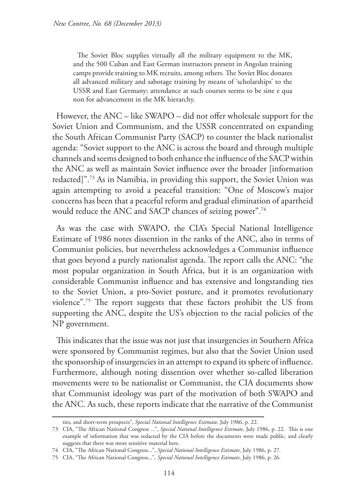The Soviet Bloc supplies virtually all the military equipment to the MK, and the 500 Cuban and East German instructors present in Angolan training camps provide training to MK recruits, among others. The Soviet Bloc donates all advanced military and sabotage training by means of 'scholarships' to the USSR and East Germany; attendance at such courses seems to be sine e qua non for advancement in the MK hierarchy.

However, the ANC – like SWAPO – did not offer wholesale support for the Soviet Union and Communism, and the USSR concentrated on expanding the South African Communist Party (SACP) to counter the black nationalist agenda: "Soviet support to the ANC is across the board and through multiple channels and seems designed to both enhance the influence of the SACP within the ANC as well as maintain Soviet influence over the broader [information redacted]".73 As in Namibia, in providing this support, the Soviet Union was again attempting to avoid a peaceful transition: "One of Moscow's major concerns has been that a peaceful reform and gradual elimination of apartheid would reduce the ANC and SACP chances of seizing power".74

As was the case with SWAPO, the CIA's Special National Intelligence Estimate of 1986 notes dissention in the ranks of the ANC, also in terms of Communist policies, but nevertheless acknowledges a Communist influence that goes beyond a purely nationalist agenda. The report calls the ANC: "the most popular organization in South Africa, but it is an organization with considerable Communist influence and has extensive and longstanding ties to the Soviet Union, a pro-Soviet posture, and it promotes revolutionary violence".75 The report suggests that these factors prohibit the US from supporting the ANC, despite the US's objection to the racial policies of the NP government.

This indicates that the issue was not just that insurgencies in Southern Africa were sponsored by Communist regimes, but also that the Soviet Union used the sponsorship of insurgencies in an attempt to expand its sphere of influence. Furthermore, although noting dissention over whether so-called liberation movements were to be nationalist or Communist, the CIA documents show that Communist ideology was part of the motivation of both SWAPO and the ANC. As such, these reports indicate that the narrative of the Communist

ties, and short-term prospects", *Special National Intelligence Estimate*, July 1986, p. 22.

<sup>73</sup> CIA, "The African National Congress ...", *Special National Intelligence Estimate*, July 1986, p. 22. This is one example of information that was redacted by the CIA before the documents were made public, and clearly suggests that there was more sensitive material here.

<sup>74</sup> CIA, "The African National Congress...", *Special National Intelligence Estimate*, July 1986, p. 27.

<sup>75</sup> CIA, "The African National Congress...", *Special National Intelligence Estimate*, July 1986, p. 26.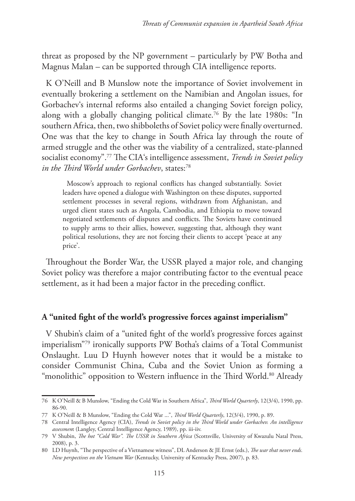threat as proposed by the NP government – particularly by PW Botha and Magnus Malan – can be supported through CIA intelligence reports.

K O'Neill and B Munslow note the importance of Soviet involvement in eventually brokering a settlement on the Namibian and Angolan issues, for Gorbachev's internal reforms also entailed a changing Soviet foreign policy, along with a globally changing political climate.76 By the late 1980s: "In southern Africa, then, two shibboleths of Soviet policy were finally overturned. One was that the key to change in South Africa lay through the route of armed struggle and the other was the viability of a centralized, state-planned socialist economy".77 The CIA's intelligence assessment, *Trends in Soviet policy in the Third World under Gorbachev*, states:<sup>78</sup>

Moscow's approach to regional conflicts has changed substantially. Soviet leaders have opened a dialogue with Washington on these disputes, supported settlement processes in several regions, withdrawn from Afghanistan, and urged client states such as Angola, Cambodia, and Ethiopia to move toward negotiated settlements of disputes and conflicts. The Soviets have continued to supply arms to their allies, however, suggesting that, although they want political resolutions, they are not forcing their clients to accept 'peace at any price'.

Throughout the Border War, the USSR played a major role, and changing Soviet policy was therefore a major contributing factor to the eventual peace settlement, as it had been a major factor in the preceding conflict.

## **A "united fight of the world's progressive forces against imperialism"**

V Shubin's claim of a "united fight of the world's progressive forces against imperialism"79 ironically supports PW Botha's claims of a Total Communist Onslaught. Luu D Huynh however notes that it would be a mistake to consider Communist China, Cuba and the Soviet Union as forming a "monolithic" opposition to Western influence in the Third World.<sup>80</sup> Already

<sup>76</sup> K O'Neill & B Munslow, "Ending the Cold War in Southern Africa", *Third World Quarterly*, 12(3/4), 1990, pp. 86-90.

<sup>77</sup> K O'Neill & B Munslow, "Ending the Cold War ...", *Third World Quarterly*, 12(3/4), 1990, p. 89.

<sup>78</sup> Central Intelligence Agency (CIA), *Trends in Soviet policy in the Third World under Gorbachev. An intelligence assessmen*t (Langley, Central Intelligence Agency, 1989), pp. iii-iiv.

<sup>79</sup> V Shubin, *The hot "Cold War". The USSR in Southern Africa* (Scottsville, University of Kwazulu Natal Press, 2008), p. 3.

<sup>80</sup> LD Huynh, "The perspective of a Vietnamese witness", DL Anderson & JE Ernst (eds.), *The war that never ends. New perspectives on the Vietnam War* (Kentucky, University of Kentucky Press, 2007), p. 83.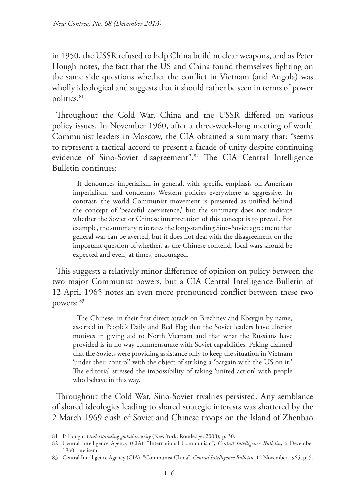in 1950, the USSR refused to help China build nuclear weapons, and as Peter Hough notes, the fact that the US and China found themselves fighting on the same side questions whether the conflict in Vietnam (and Angola) was wholly ideological and suggests that it should rather be seen in terms of power politics.<sup>81</sup>

Throughout the Cold War, China and the USSR differed on various policy issues. In November 1960, after a three-week-long meeting of world Communist leaders in Moscow, the CIA obtained a summary that: "seems to represent a tactical accord to present a facade of unity despite continuing evidence of Sino-Soviet disagreement".82 The CIA Central Intelligence Bulletin continues:

It denounces imperialism in general, with specific emphasis on American imperialism, and condemns Western policies everywhere as aggressive. In contrast, the world Communist movement is presented as unified behind the concept of 'peaceful coexistence,' but the summary does not indicate whether the Soviet or Chinese interpretation of this concept is to prevail. For example, the summary reiterates the long-standing Sino-Soviet agreement that general war can be averted, but it does not deal with the disagreement on the important question of whether, as the Chinese contend, local wars should be expected and even, at times, encouraged.

This suggests a relatively minor difference of opinion on policy between the two major Communist powers, but a CIA Central Intelligence Bulletin of 12 April 1965 notes an even more pronounced conflict between these two powers: 83

The Chinese, in their first direct attack on Brezhnev and Kosygin by name, asserted in People's Daily and Red Flag that the Soviet leaders have ulterior motives in giving aid to North Vietnam and that what the Russians have provided is in no way commensurate with Soviet capabilities. Peking claimed that the Soviets were providing assistance only to keep the situation in Vietnam 'under their control' with the object of striking a 'bargain with the US on it.' The editorial stressed the impossibility of taking 'united action' with people who behave in this way.

Throughout the Cold War, Sino-Soviet rivalries persisted. Any semblance of shared ideologies leading to shared strategic interests was shattered by the 2 March 1969 clash of Soviet and Chinese troops on the Island of Zhenbao

<sup>81</sup> P Hough, *Understanding global security* (New York, Routledge, 2008), p. 30.

<sup>82</sup> Central Intelligence Agency (CIA), "International Communism", *Central Intelligence Bulletin*, 6 December 1960, late item.

<sup>83</sup> Central Intelligence Agency (CIA), "Communist China", *Central Intelligence Bulletin*, 12 November 1965, p. 5.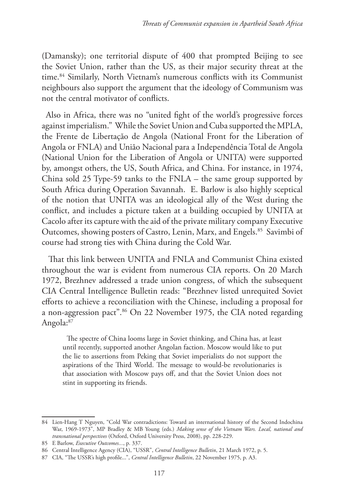(Damansky); one territorial dispute of 400 that prompted Beijing to see the Soviet Union, rather than the US, as their major security threat at the time.84 Similarly, North Vietnam's numerous conflicts with its Communist neighbours also support the argument that the ideology of Communism was not the central motivator of conflicts.

Also in Africa, there was no "united fight of the world's progressive forces against imperialism." While the Soviet Union and Cuba supported the MPLA, the Frente de Libertaçăo de Angola (National Front for the Liberation of Angola or FNLA) and Uniăo Nacional para a Independência Total de Angola (National Union for the Liberation of Angola or UNITA) were supported by, amongst others, the US, South Africa, and China. For instance, in 1974, China sold 25 Type-59 tanks to the FNLA – the same group supported by South Africa during Operation Savannah. E. Barlow is also highly sceptical of the notion that UNITA was an ideological ally of the West during the conflict, and includes a picture taken at a building occupied by UNITA at Cacolo after its capture with the aid of the private military company Executive Outcomes, showing posters of Castro, Lenin, Marx, and Engels.<sup>85</sup> Savimbi of course had strong ties with China during the Cold War.

 That this link between UNITA and FNLA and Communist China existed throughout the war is evident from numerous CIA reports. On 20 March 1972, Brezhnev addressed a trade union congress, of which the subsequent CIA Central Intelligence Bulletin reads: "Brezhnev listed unrequited Soviet efforts to achieve a reconciliation with the Chinese, including a proposal for a non-aggression pact".86 On 22 November 1975, the CIA noted regarding Angola:<sup>87</sup>

The spectre of China looms large in Soviet thinking, and China has, at least until recently, supported another Angolan faction. Moscow would like to put the lie to assertions from Peking that Soviet imperialists do not support the aspirations of the Third World. The message to would-be revolutionaries is that association with Moscow pays off, and that the Soviet Union does not stint in supporting its friends.

<sup>84</sup> Lien-Hang T Nguyen, "Cold War contradictions: Toward an international history of the Second Indochina War, 1969-1973", MP Bradley & MB Young (eds.) *Making sense of the Vietnam Wars. Local, national and transnational perspectives* (Oxford, Oxford University Press, 2008), pp. 228-229.

<sup>85</sup> E Barlow, *Executive Outcomes...*, p. 337.

<sup>86</sup> Central Intelligence Agency (CIA), "USSR", *Central Intelligence Bulletin*, 21 March 1972, p. 5.

<sup>87</sup> CIA, "The USSR's high profile...", *Central Intelligence Bulletin*, 22 November 1975, p. A3.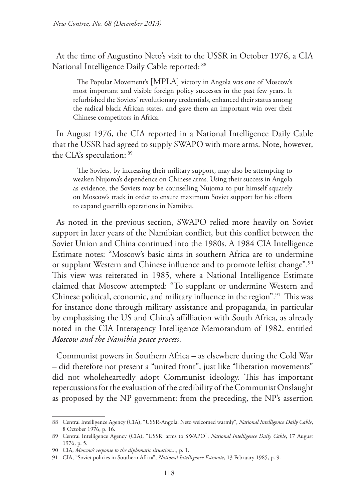At the time of Augustino Neto's visit to the USSR in October 1976, a CIA National Intelligence Daily Cable reported: 88

The Popular Movement's [MPLA] victory in Angola was one of Moscow's most important and visible foreign policy successes in the past few years. It refurbished the Soviets' revolutionary credentials, enhanced their status among the radical black African states, and gave them an important win over their Chinese competitors in Africa.

In August 1976, the CIA reported in a National Intelligence Daily Cable that the USSR had agreed to supply SWAPO with more arms. Note, however, the CIA's speculation: 89

The Soviets, by increasing their military support, may also be attempting to weaken Nujoma's dependence on Chinese arms. Using their success in Angola as evidence, the Soviets may be counselling Nujoma to put himself squarely on Moscow's track in order to ensure maximum Soviet support for his efforts to expand guerrilla operations in Namibia.

As noted in the previous section, SWAPO relied more heavily on Soviet support in later years of the Namibian conflict, but this conflict between the Soviet Union and China continued into the 1980s. A 1984 CIA Intelligence Estimate notes: "Moscow's basic aims in southern Africa are to undermine or supplant Western and Chinese influence and to promote leftist change".<sup>90</sup> This view was reiterated in 1985, where a National Intelligence Estimate claimed that Moscow attempted: "To supplant or undermine Western and Chinese political, economic, and military influence in the region".91 This was for instance done through military assistance and propaganda, in particular by emphasising the US and China's affilliation with South Africa, as already noted in the CIA Interagency Intelligence Memorandum of 1982, entitled *Moscow and the Namibia peace process*.

Communist powers in Southern Africa – as elsewhere during the Cold War – did therefore not present a "united front", just like "liberation movements" did not wholeheartedly adopt Communist ideology. This has important repercussions for the evaluation of the credibility of the Communist Onslaught as proposed by the NP government: from the preceding, the NP's assertion

<sup>88</sup> Central Intelligence Agency (CIA), "USSR-Angola: Neto welcomed warmly", *National Intelligence Daily Cable*, 8 October 1976, p. 16.

<sup>89</sup> Central Intelligence Agency (CIA), "USSR: arms to SWAPO", *National Intelligence Daily Cable*, 17 August 1976, p. 5.

<sup>90</sup> CIA, *Moscow's response to the diplomatic situation...*, p. 1.

<sup>91</sup> CIA, "Soviet policies in Southern Africa", *National Intelligence Estimate*, 13 February 1985, p. 9.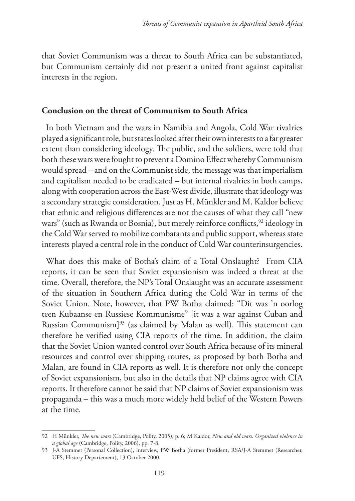that Soviet Communism was a threat to South Africa can be substantiated, but Communism certainly did not present a united front against capitalist interests in the region.

#### **Conclusion on the threat of Communism to South Africa**

In both Vietnam and the wars in Namibia and Angola, Cold War rivalries played a significant role, but states looked after their own interests to a far greater extent than considering ideology. The public, and the soldiers, were told that both these wars were fought to prevent a Domino Effect whereby Communism would spread – and on the Communist side, the message was that imperialism and capitalism needed to be eradicated – but internal rivalries in both camps, along with cooperation across the East-West divide, illustrate that ideology was a secondary strategic consideration. Just as H. Münkler and M. Kaldor believe that ethnic and religious differences are not the causes of what they call "new wars" (such as Rwanda or Bosnia), but merely reinforce conflicts,<sup>92</sup> ideology in the Cold War served to mobilize combatants and public support, whereas state interests played a central role in the conduct of Cold War counterinsurgencies.

What does this make of Botha's claim of a Total Onslaught? From CIA reports, it can be seen that Soviet expansionism was indeed a threat at the time. Overall, therefore, the NP's Total Onslaught was an accurate assessment of the situation in Southern Africa during the Cold War in terms of the Soviet Union. Note, however, that PW Botha claimed: "Dit was 'n oorlog teen Kubaanse en Russiese Kommunisme" [it was a war against Cuban and Russian Communism]93 (as claimed by Malan as well). This statement can therefore be verified using CIA reports of the time. In addition, the claim that the Soviet Union wanted control over South Africa because of its mineral resources and control over shipping routes, as proposed by both Botha and Malan, are found in CIA reports as well. It is therefore not only the concept of Soviet expansionism, but also in the details that NP claims agree with CIA reports. It therefore cannot be said that NP claims of Soviet expansionism was propaganda – this was a much more widely held belief of the Western Powers at the time.

<sup>92</sup> H Münkler, *The new wars* (Cambridge, Polity, 2005), p. 6; M Kaldor, *New and old wars. Organized violence in a global age* (Cambridge, Polity, 2006), pp. 7-8.

<sup>93</sup> J-A Stemmet (Personal Collection), interview, PW Botha (former President, RSA/J-A Stemmet (Researcher, UFS, History Departement), 13 October 2000.